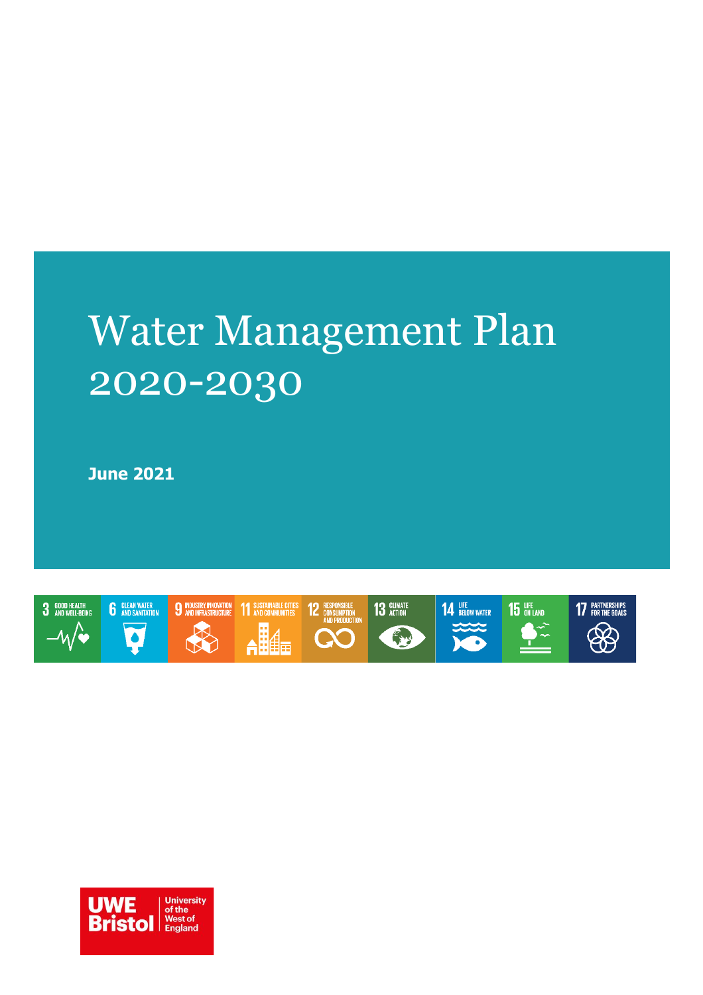# Water Management Plan 2020-2030

**June 2021**



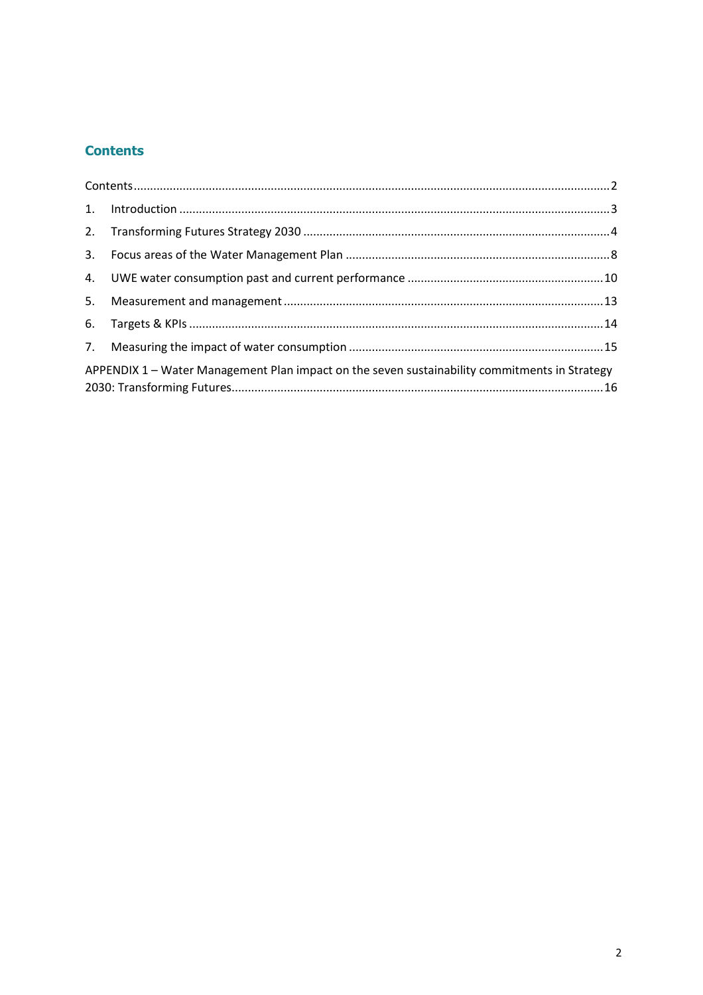#### <span id="page-1-0"></span>**Contents**

| APPENDIX 1 – Water Management Plan impact on the seven sustainability commitments in Strategy |  |
|-----------------------------------------------------------------------------------------------|--|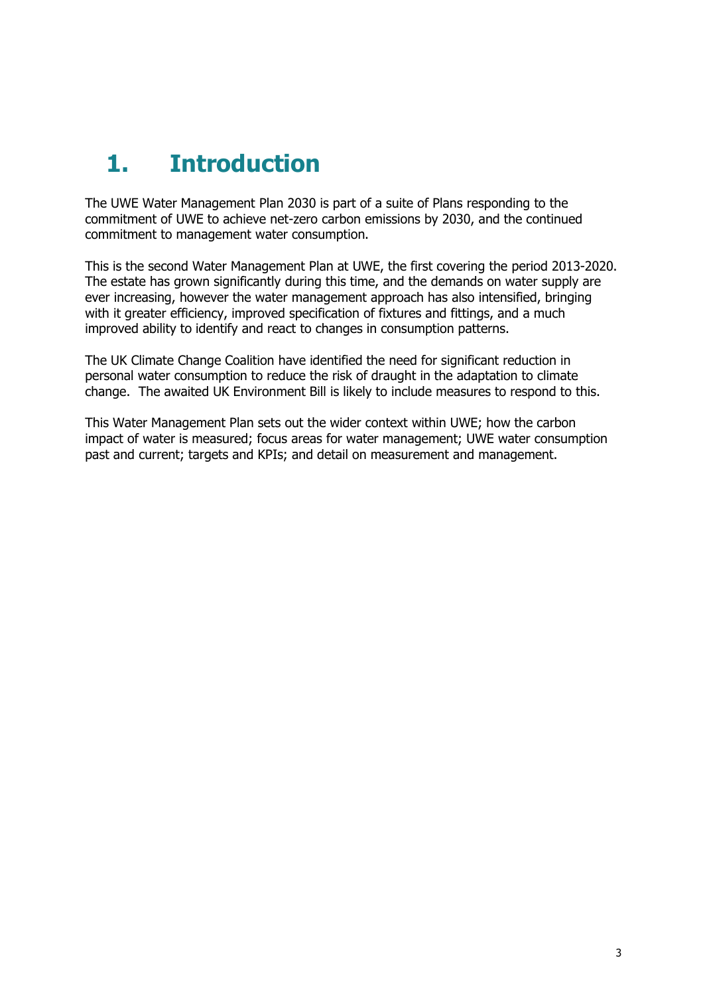# <span id="page-2-0"></span>**1. Introduction**

The UWE Water Management Plan 2030 is part of a suite of Plans responding to the commitment of UWE to achieve net-zero carbon emissions by 2030, and the continued commitment to management water consumption.

This is the second Water Management Plan at UWE, the first covering the period 2013-2020. The estate has grown significantly during this time, and the demands on water supply are ever increasing, however the water management approach has also intensified, bringing with it greater efficiency, improved specification of fixtures and fittings, and a much improved ability to identify and react to changes in consumption patterns.

The UK Climate Change Coalition have identified the need for significant reduction in personal water consumption to reduce the risk of draught in the adaptation to climate change. The awaited UK Environment Bill is likely to include measures to respond to this.

This Water Management Plan sets out the wider context within UWE; how the carbon impact of water is measured; focus areas for water management; UWE water consumption past and current; targets and KPIs; and detail on measurement and management.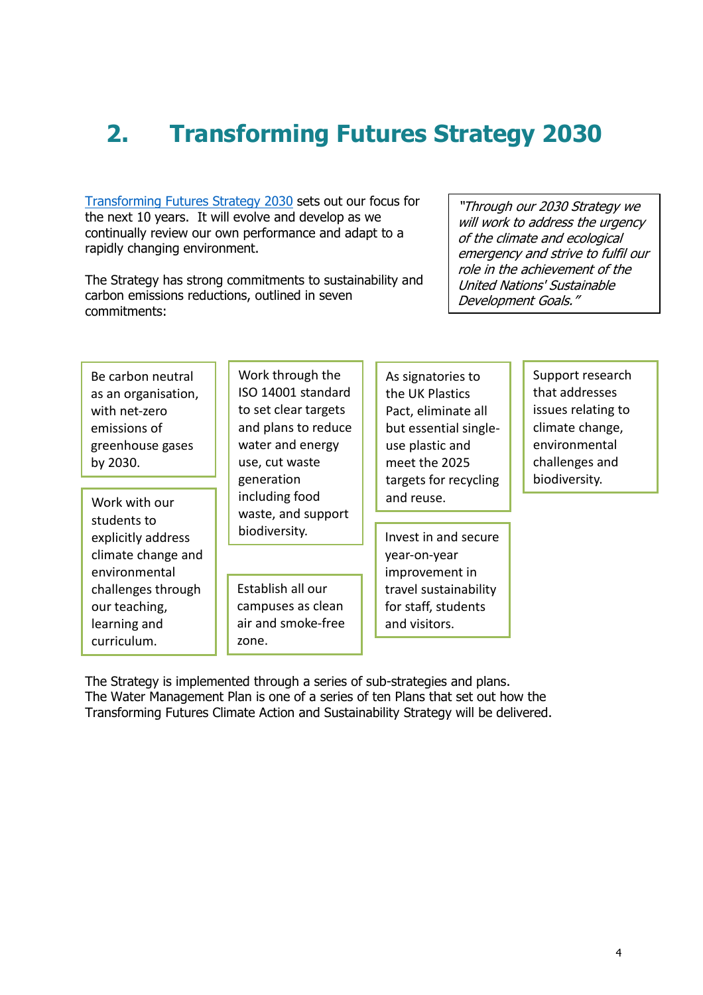# <span id="page-3-0"></span>**2. Transforming Futures Strategy 2030**

[Transforming Futures Strategy 2030](https://www.uwe.ac.uk/about/values-vision-strategy/strategy-2030) sets out our focus for the next 10 years. It will evolve and develop as we continually review our own performance and adapt to a rapidly changing environment.

The Strategy has strong commitments to sustainability and carbon emissions reductions, outlined in seven commitments:

"Through our 2030 Strategy we will work to address the urgency of the climate and ecological emergency and strive to fulfil our role in the achievement of the United Nations' Sustainable Development Goals."

Be carbon neutral as an organisation, with net-zero emissions of greenhouse gases by 2030.

Work with our students to explicitly address climate change and environmental challenges through our teaching, learning and curriculum.

Work through the ISO 14001 standard to set clear targets and plans to reduce water and energy use, cut waste generation including food waste, and support biodiversity.

Establish all our campuses as clean air and smoke-free zone.

As signatories to the UK Plastics Pact, eliminate all but essential singleuse plastic and meet the 2025 targets for recycling and reuse.

Invest in and secure year-on-year improvement in travel sustainability for staff, students and visitors.

Support research that addresses issues relating to climate change, environmental challenges and biodiversity.

The Strategy is implemented through a series of sub-strategies and plans. The Water Management Plan is one of a series of ten Plans that set out how the Transforming Futures Climate Action and Sustainability Strategy will be delivered.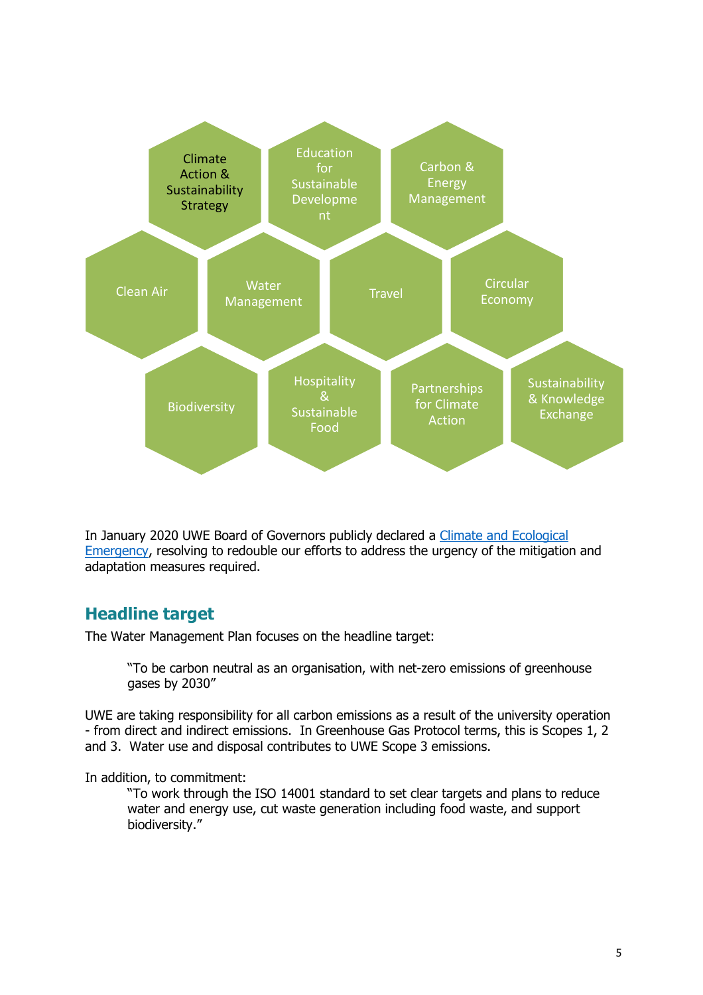

In January 2020 UWE Board of Governors publicly declared a Climate and Ecological [Emergency,](https://www2.uwe.ac.uk/services/Marketing/about-us/pdf/Policies/UWE-Bristol-Board-of-Governors-Declaration-of-Climate-and-Ecological-Emergency-v3.pdf) resolving to redouble our efforts to address the urgency of the mitigation and adaptation measures required.

#### **Headline target**

The Water Management Plan focuses on the headline target:

"To be carbon neutral as an organisation, with net-zero emissions of greenhouse gases by 2030"

UWE are taking responsibility for all carbon emissions as a result of the university operation - from direct and indirect emissions. In Greenhouse Gas Protocol terms, this is Scopes 1, 2 and 3. Water use and disposal contributes to UWE Scope 3 emissions.

In addition, to commitment:

"To work through the ISO 14001 standard to set clear targets and plans to reduce water and energy use, cut waste generation including food waste, and support biodiversity."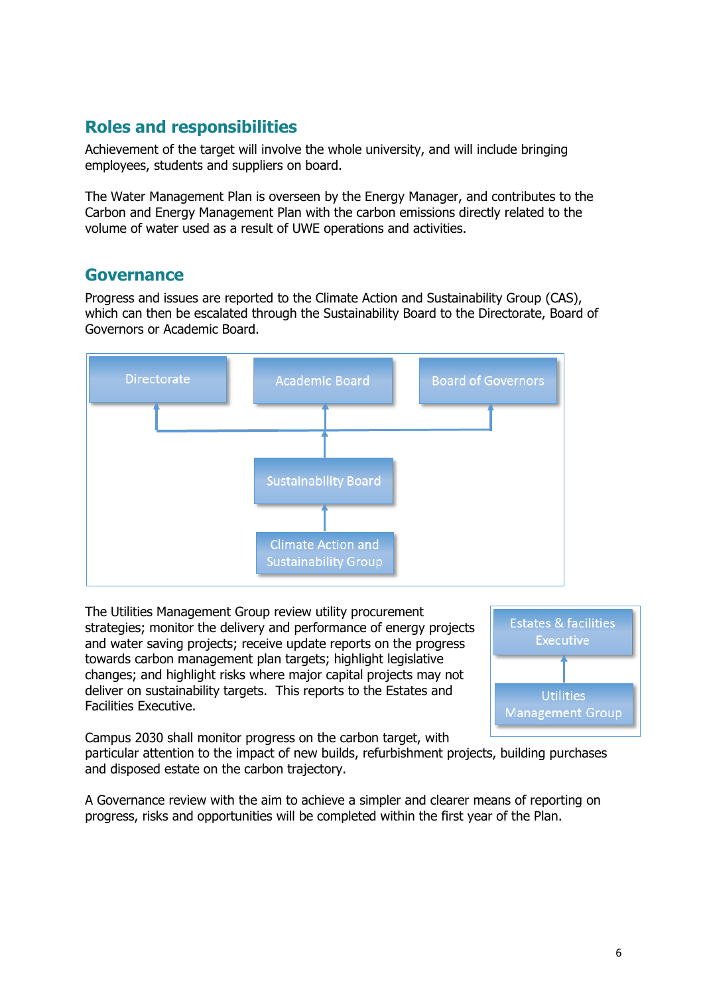#### **Roles and responsibilities**

Achievement of the target will involve the whole university, and will include bringing employees, students and suppliers on board.

The Water Management Plan is overseen by the Energy Manager, and contributes to the Carbon and Energy Management Plan with the carbon emissions directly related to the volume of water used as a result of UWE operations and activities.

#### **Governance**

Progress and issues are reported to the Climate Action and Sustainability Group (CAS), which can then be escalated through the Sustainability Board to the Directorate, Board of Governors or Academic Board.



The Utilities Management Group review utility procurement strategies; monitor the delivery and performance of energy projects and water saving projects; receive update reports on the progress towards carbon management plan targets; highlight legislative changes; and highlight risks where major capital projects may not deliver on sustainability targets. This reports to the Estates and Facilities Executive.



Campus 2030 shall monitor progress on the carbon target, with particular attention to the impact of new builds, refurbishment projects, building purchases

and disposed estate on the carbon trajectory.

A Governance review with the aim to achieve a simpler and clearer means of reporting on progress, risks and opportunities will be completed within the first year of the Plan.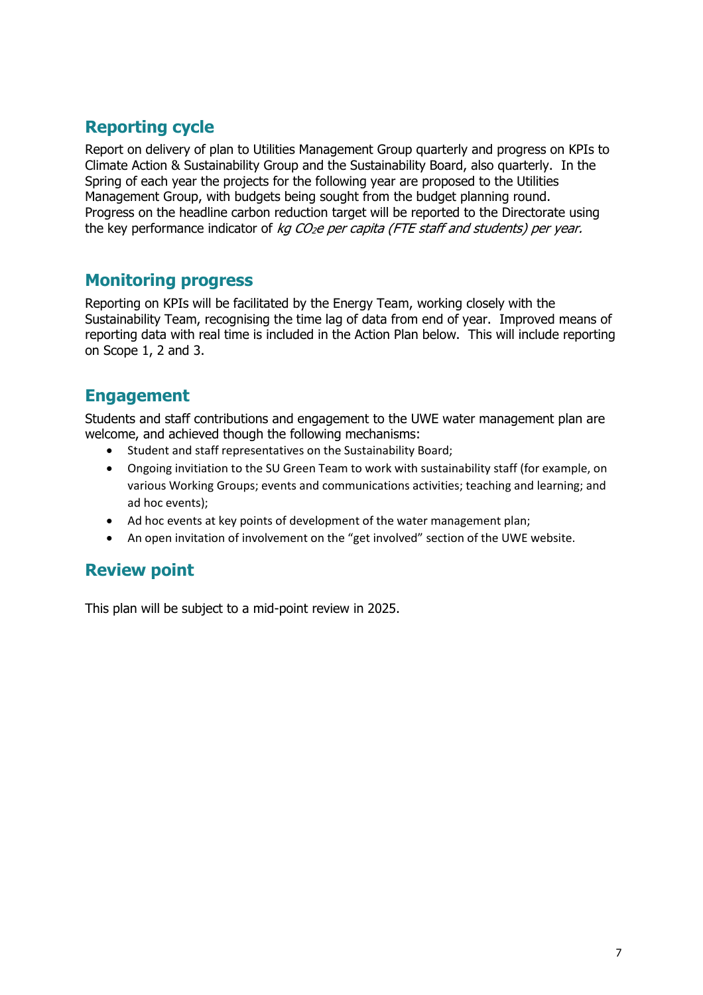#### **Reporting cycle**

Report on delivery of plan to Utilities Management Group quarterly and progress on KPIs to Climate Action & Sustainability Group and the Sustainability Board, also quarterly. In the Spring of each year the projects for the following year are proposed to the Utilities Management Group, with budgets being sought from the budget planning round. Progress on the headline carbon reduction target will be reported to the Directorate using the key performance indicator of  $kq$  CO<sub>2</sub>e per capita (FTE staff and students) per year.

#### **Monitoring progress**

Reporting on KPIs will be facilitated by the Energy Team, working closely with the Sustainability Team, recognising the time lag of data from end of year. Improved means of reporting data with real time is included in the Action Plan below. This will include reporting on Scope 1, 2 and 3.

#### **Engagement**

Students and staff contributions and engagement to the UWE water management plan are welcome, and achieved though the following mechanisms:

- Student and staff representatives on the Sustainability Board;
- Ongoing invitiation to the SU Green Team to work with sustainability staff (for example, on various Working Groups; events and communications activities; teaching and learning; and ad hoc events);
- Ad hoc events at key points of development of the water management plan;
- An open invitation of involvement on the "get involved" section of the UWE website.

#### **Review point**

This plan will be subject to a mid-point review in 2025.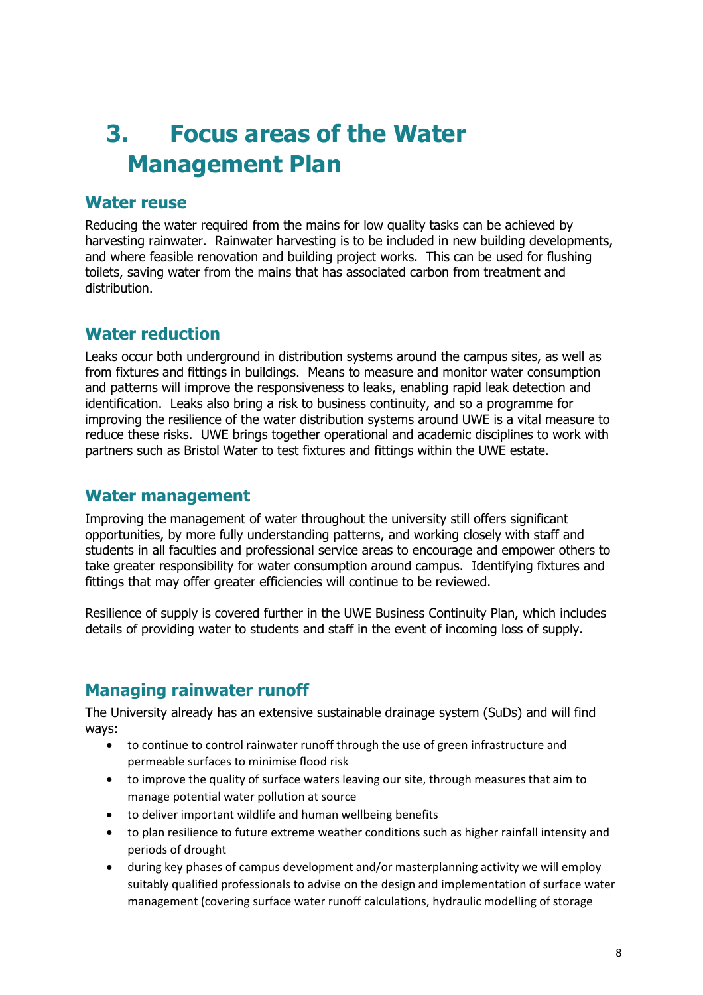### <span id="page-7-0"></span>**3. Focus areas of the Water Management Plan**

#### **Water reuse**

Reducing the water required from the mains for low quality tasks can be achieved by harvesting rainwater. Rainwater harvesting is to be included in new building developments, and where feasible renovation and building project works. This can be used for flushing toilets, saving water from the mains that has associated carbon from treatment and distribution.

#### **Water reduction**

Leaks occur both underground in distribution systems around the campus sites, as well as from fixtures and fittings in buildings. Means to measure and monitor water consumption and patterns will improve the responsiveness to leaks, enabling rapid leak detection and identification. Leaks also bring a risk to business continuity, and so a programme for improving the resilience of the water distribution systems around UWE is a vital measure to reduce these risks. UWE brings together operational and academic disciplines to work with partners such as Bristol Water to test fixtures and fittings within the UWE estate.

#### **Water management**

Improving the management of water throughout the university still offers significant opportunities, by more fully understanding patterns, and working closely with staff and students in all faculties and professional service areas to encourage and empower others to take greater responsibility for water consumption around campus. Identifying fixtures and fittings that may offer greater efficiencies will continue to be reviewed.

Resilience of supply is covered further in the UWE Business Continuity Plan, which includes details of providing water to students and staff in the event of incoming loss of supply.

#### **Managing rainwater runoff**

The University already has an extensive sustainable drainage system (SuDs) and will find ways:

- to continue to control rainwater runoff through the use of green infrastructure and permeable surfaces to minimise flood risk
- to improve the quality of surface waters leaving our site, through measures that aim to manage potential water pollution at source
- to deliver important wildlife and human wellbeing benefits
- to plan resilience to future extreme weather conditions such as higher rainfall intensity and periods of drought
- during key phases of campus development and/or masterplanning activity we will employ suitably qualified professionals to advise on the design and implementation of surface water management (covering surface water runoff calculations, hydraulic modelling of storage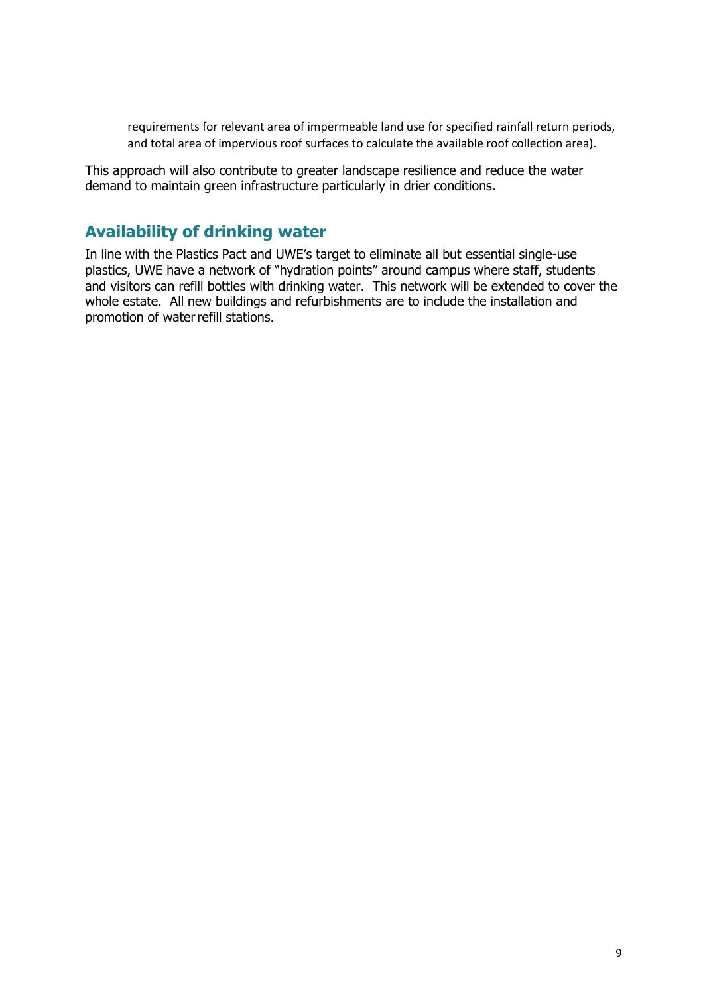requirements for relevant area of impermeable land use for specified rainfall return periods, and total area of impervious roof surfaces to calculate the available roof collection area).

This approach will also contribute to greater landscape resilience and reduce the water demand to maintain green infrastructure particularly in drier conditions.

#### **Availability of drinking water**

In line with the Plastics Pact and UWE's target to eliminate all but essential single-use plastics, UWE have a network of "hydration points" around campus where staff, students and visitors can refill bottles with drinking water. This network will be extended to cover the whole estate. All new buildings and refurbishments are to include the installation and promotion of water refill stations.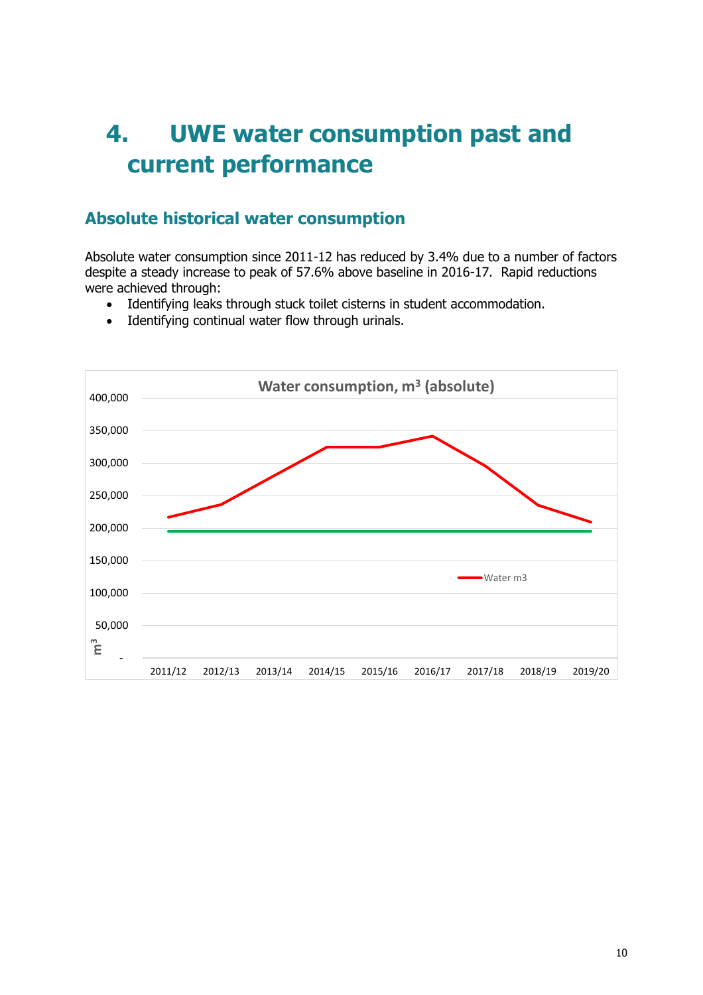### <span id="page-9-0"></span>**4. UWE water consumption past and current performance**

#### **Absolute historical water consumption**

Absolute water consumption since 2011-12 has reduced by 3.4% due to a number of factors despite a steady increase to peak of 57.6% above baseline in 2016-17. Rapid reductions were achieved through:

- Identifying leaks through stuck toilet cisterns in student accommodation.
- Identifying continual water flow through urinals.

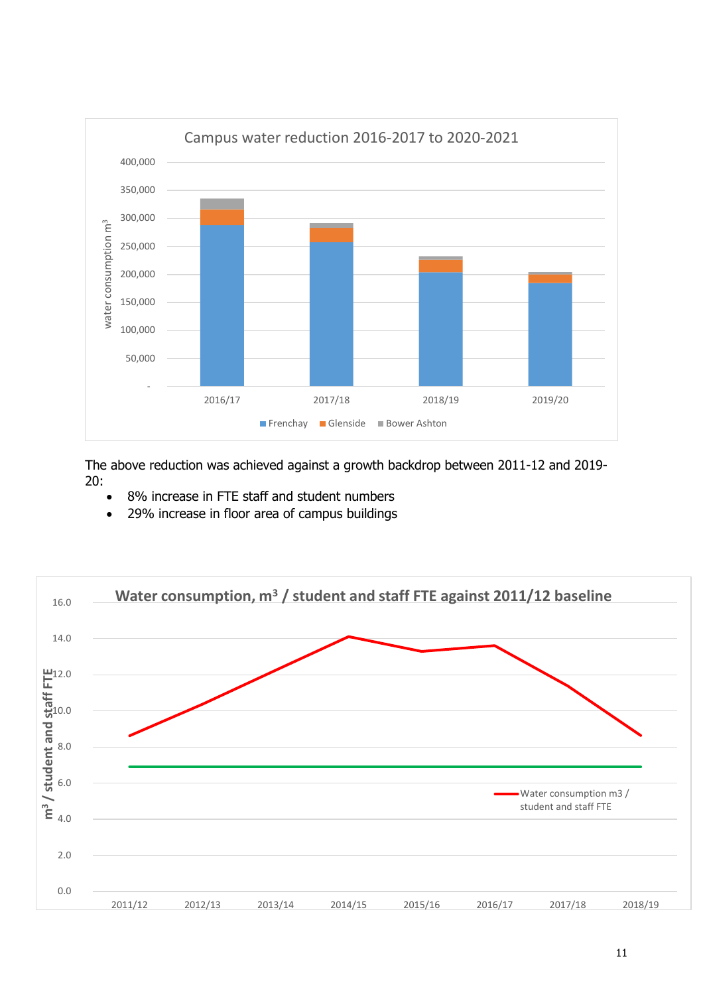

The above reduction was achieved against a growth backdrop between 2011-12 and 2019- 20:

- 8% increase in FTE staff and student numbers
- 29% increase in floor area of campus buildings

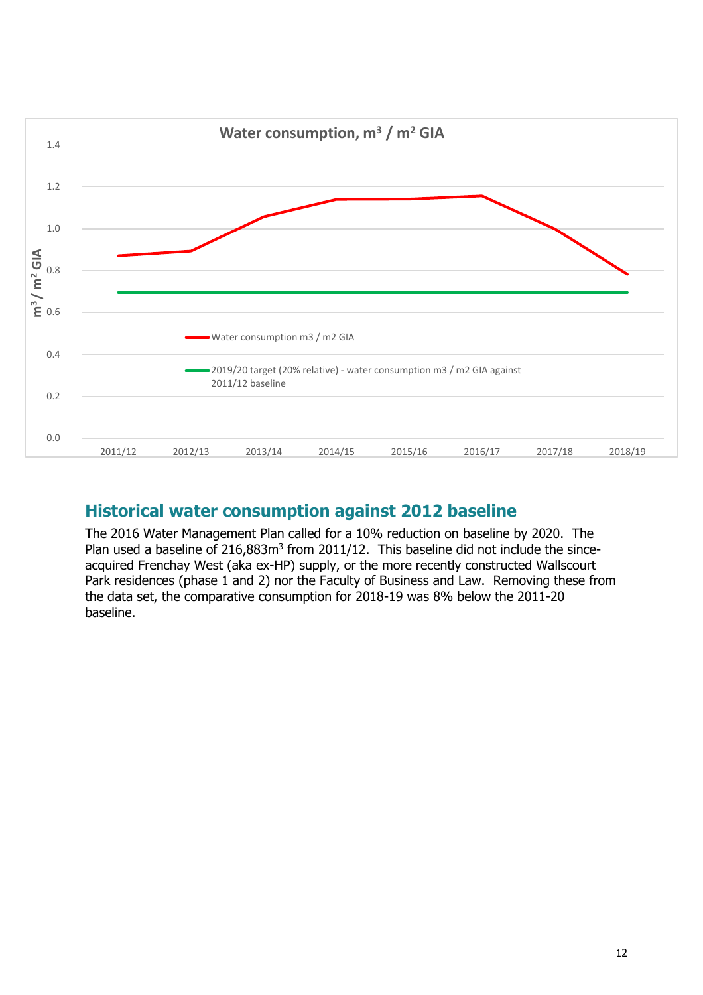

#### **Historical water consumption against 2012 baseline**

The 2016 Water Management Plan called for a 10% reduction on baseline by 2020. The Plan used a baseline of 216,883m<sup>3</sup> from 2011/12. This baseline did not include the sinceacquired Frenchay West (aka ex-HP) supply, or the more recently constructed Wallscourt Park residences (phase 1 and 2) nor the Faculty of Business and Law. Removing these from the data set, the comparative consumption for 2018-19 was 8% below the 2011-20 baseline.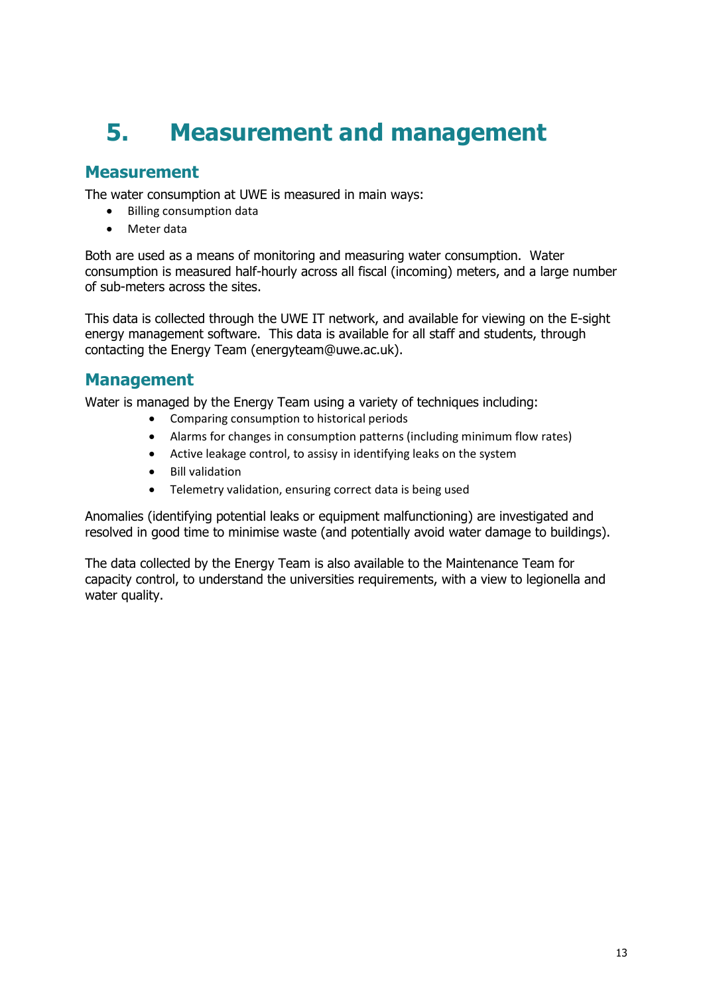# <span id="page-12-0"></span>**5. Measurement and management**

#### **Measurement**

The water consumption at UWE is measured in main ways:

- Billing consumption data
- Meter data

Both are used as a means of monitoring and measuring water consumption. Water consumption is measured half-hourly across all fiscal (incoming) meters, and a large number of sub-meters across the sites.

This data is collected through the UWE IT network, and available for viewing on the E-sight energy management software. This data is available for all staff and students, through contacting the Energy Team (energyteam@uwe.ac.uk).

#### **Management**

Water is managed by the Energy Team using a variety of techniques including:

- Comparing consumption to historical periods
- Alarms for changes in consumption patterns (including minimum flow rates)
- Active leakage control, to assisy in identifying leaks on the system
- Bill validation
- Telemetry validation, ensuring correct data is being used

Anomalies (identifying potential leaks or equipment malfunctioning) are investigated and resolved in good time to minimise waste (and potentially avoid water damage to buildings).

The data collected by the Energy Team is also available to the Maintenance Team for capacity control, to understand the universities requirements, with a view to legionella and water quality.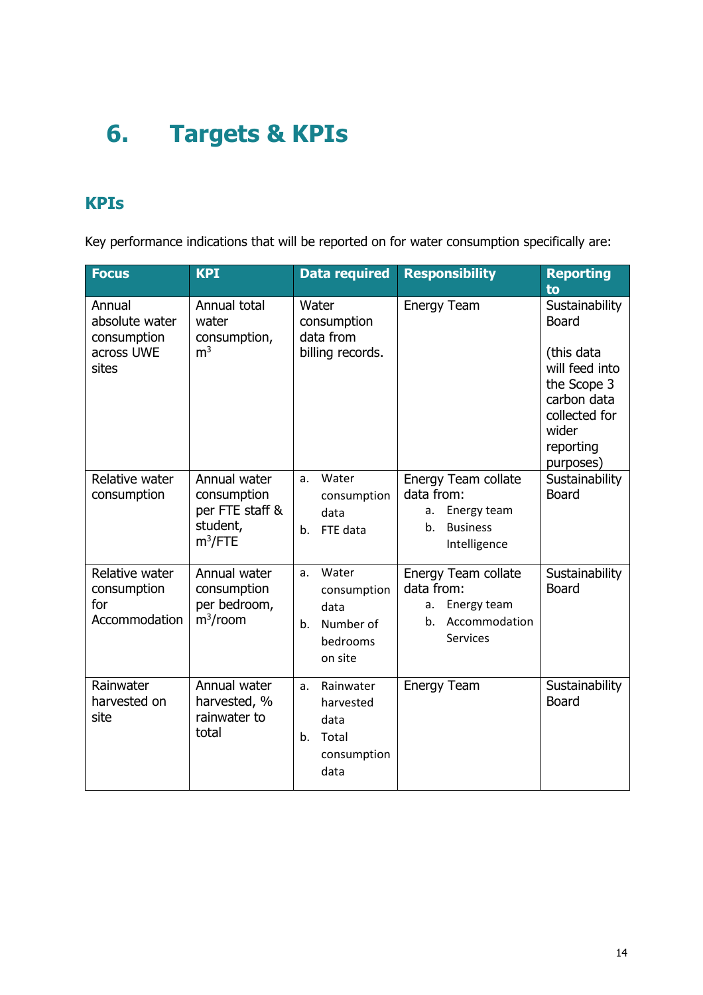# <span id="page-13-0"></span>**6. Targets & KPIs**

#### **KPIs**

Key performance indications that will be reported on for water consumption specifically are:

| <b>Focus</b>                                                   | <b>KPI</b>                                                               | Data required                                                                | <b>Responsibility</b>                                                                            | <b>Reporting</b><br>to                                                                                                                           |
|----------------------------------------------------------------|--------------------------------------------------------------------------|------------------------------------------------------------------------------|--------------------------------------------------------------------------------------------------|--------------------------------------------------------------------------------------------------------------------------------------------------|
| Annual<br>absolute water<br>consumption<br>across UWE<br>sites | Annual total<br>water<br>consumption,<br>m <sup>3</sup>                  | Water<br>consumption<br>data from<br>billing records.                        | <b>Energy Team</b>                                                                               | Sustainability<br><b>Board</b><br>(this data<br>will feed into<br>the Scope 3<br>carbon data<br>collected for<br>wider<br>reporting<br>purposes) |
| Relative water<br>consumption                                  | Annual water<br>consumption<br>per FTE staff &<br>student,<br>$m^3$ /FTE | Water<br>a.<br>consumption<br>data<br>FTE data<br>b.                         | Energy Team collate<br>data from:<br>Energy team<br>a.<br><b>Business</b><br>b.<br>Intelligence  | Sustainability<br><b>Board</b>                                                                                                                   |
| Relative water<br>consumption<br>for<br>Accommodation          | Annual water<br>consumption<br>per bedroom,<br>$m^3$ /room               | Water<br>a.<br>consumption<br>data<br>Number of<br>b.<br>bedrooms<br>on site | Energy Team collate<br>data from:<br>Energy team<br>a.<br>Accommodation<br>b.<br><b>Services</b> | Sustainability<br><b>Board</b>                                                                                                                   |
| Rainwater<br>harvested on<br>site                              | Annual water<br>harvested, %<br>rainwater to<br>total                    | Rainwater<br>a.<br>harvested<br>data<br>Total<br>b.<br>consumption<br>data   | <b>Energy Team</b>                                                                               | Sustainability<br><b>Board</b>                                                                                                                   |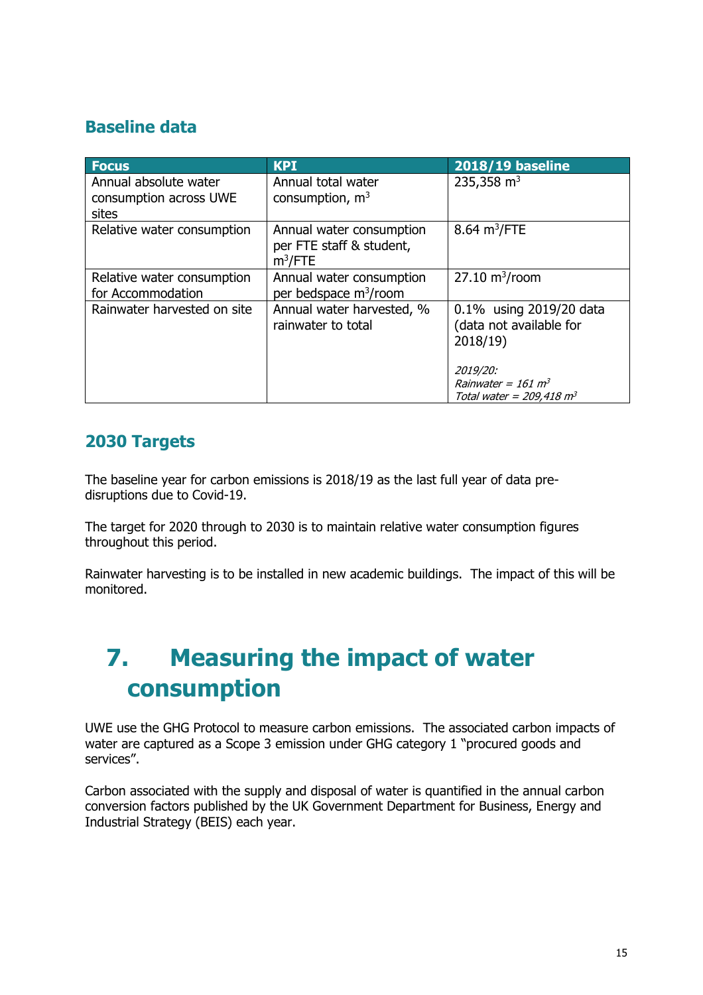#### **Baseline data**

| <b>Focus</b>                                             | <b>KPI</b>                                                         | <b>2018/19 baseline</b>                                                                                                                    |
|----------------------------------------------------------|--------------------------------------------------------------------|--------------------------------------------------------------------------------------------------------------------------------------------|
| Annual absolute water<br>consumption across UWE<br>sites | Annual total water<br>consumption, $m3$                            | 235,358 $m3$                                                                                                                               |
| Relative water consumption                               | Annual water consumption<br>per FTE staff & student,<br>$m^3$ /FTE | $8.64 \text{ m}^3/\text{FTE}$                                                                                                              |
| Relative water consumption<br>for Accommodation          | Annual water consumption<br>per bedspace m <sup>3</sup> /room      | $27.10 \text{ m}^3$ /room                                                                                                                  |
| Rainwater harvested on site                              | Annual water harvested, %<br>rainwater to total                    | 0.1% using 2019/20 data<br>(data not available for<br>2018/19<br>2019/20:<br>Rainwater = $161 \text{ m}^3$<br>Total water = $209,418$ $m3$ |

#### **2030 Targets**

The baseline year for carbon emissions is 2018/19 as the last full year of data predisruptions due to Covid-19.

The target for 2020 through to 2030 is to maintain relative water consumption figures throughout this period.

Rainwater harvesting is to be installed in new academic buildings. The impact of this will be monitored.

### <span id="page-14-0"></span>**7. Measuring the impact of water consumption**

UWE use the GHG Protocol to measure carbon emissions. The associated carbon impacts of water are captured as a Scope 3 emission under GHG category 1 "procured goods and services".

Carbon associated with the supply and disposal of water is quantified in the annual carbon conversion factors published by the UK Government Department for Business, Energy and Industrial Strategy (BEIS) each year.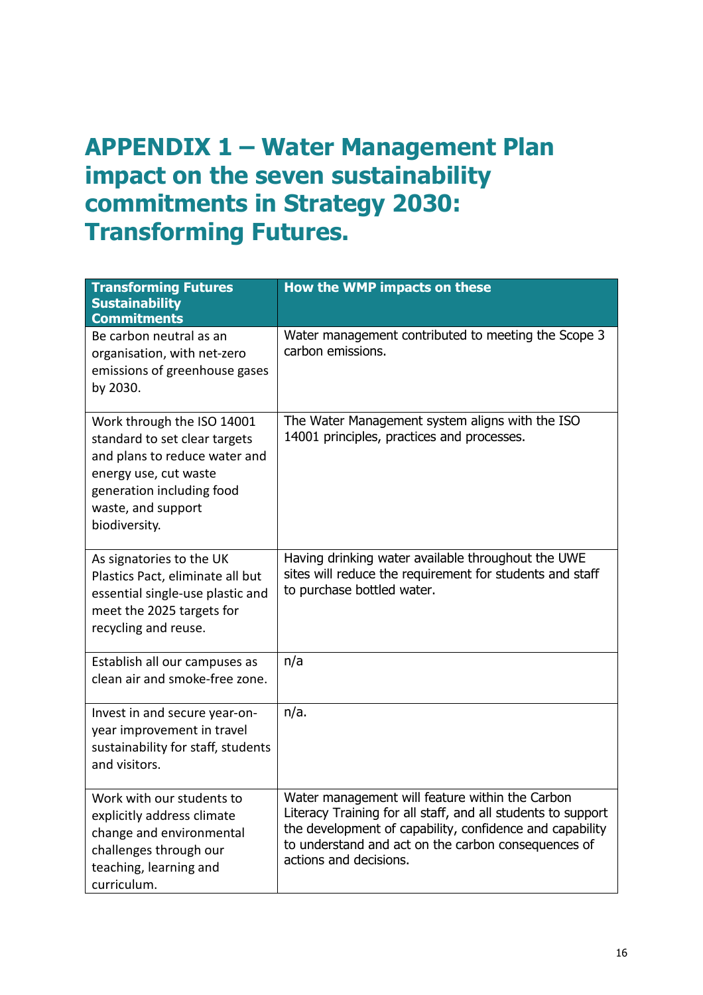### <span id="page-15-0"></span>**APPENDIX 1 – Water Management Plan impact on the seven sustainability commitments in Strategy 2030: Transforming Futures.**

| <b>Transforming Futures</b><br><b>Sustainability</b><br><b>Commitments</b>                                                                                                                | How the WMP impacts on these                                                                                                                                                                                                                                 |
|-------------------------------------------------------------------------------------------------------------------------------------------------------------------------------------------|--------------------------------------------------------------------------------------------------------------------------------------------------------------------------------------------------------------------------------------------------------------|
| Be carbon neutral as an<br>organisation, with net-zero<br>emissions of greenhouse gases<br>by 2030.                                                                                       | Water management contributed to meeting the Scope 3<br>carbon emissions.                                                                                                                                                                                     |
| Work through the ISO 14001<br>standard to set clear targets<br>and plans to reduce water and<br>energy use, cut waste<br>generation including food<br>waste, and support<br>biodiversity. | The Water Management system aligns with the ISO<br>14001 principles, practices and processes.                                                                                                                                                                |
| As signatories to the UK<br>Plastics Pact, eliminate all but<br>essential single-use plastic and<br>meet the 2025 targets for<br>recycling and reuse.                                     | Having drinking water available throughout the UWE<br>sites will reduce the requirement for students and staff<br>to purchase bottled water.                                                                                                                 |
| Establish all our campuses as<br>clean air and smoke-free zone.                                                                                                                           | n/a                                                                                                                                                                                                                                                          |
| Invest in and secure year-on-<br>year improvement in travel<br>sustainability for staff, students<br>and visitors.                                                                        | $n/a$ .                                                                                                                                                                                                                                                      |
| Work with our students to<br>explicitly address climate<br>change and environmental<br>challenges through our<br>teaching, learning and<br>curriculum.                                    | Water management will feature within the Carbon<br>Literacy Training for all staff, and all students to support<br>the development of capability, confidence and capability<br>to understand and act on the carbon consequences of<br>actions and decisions. |